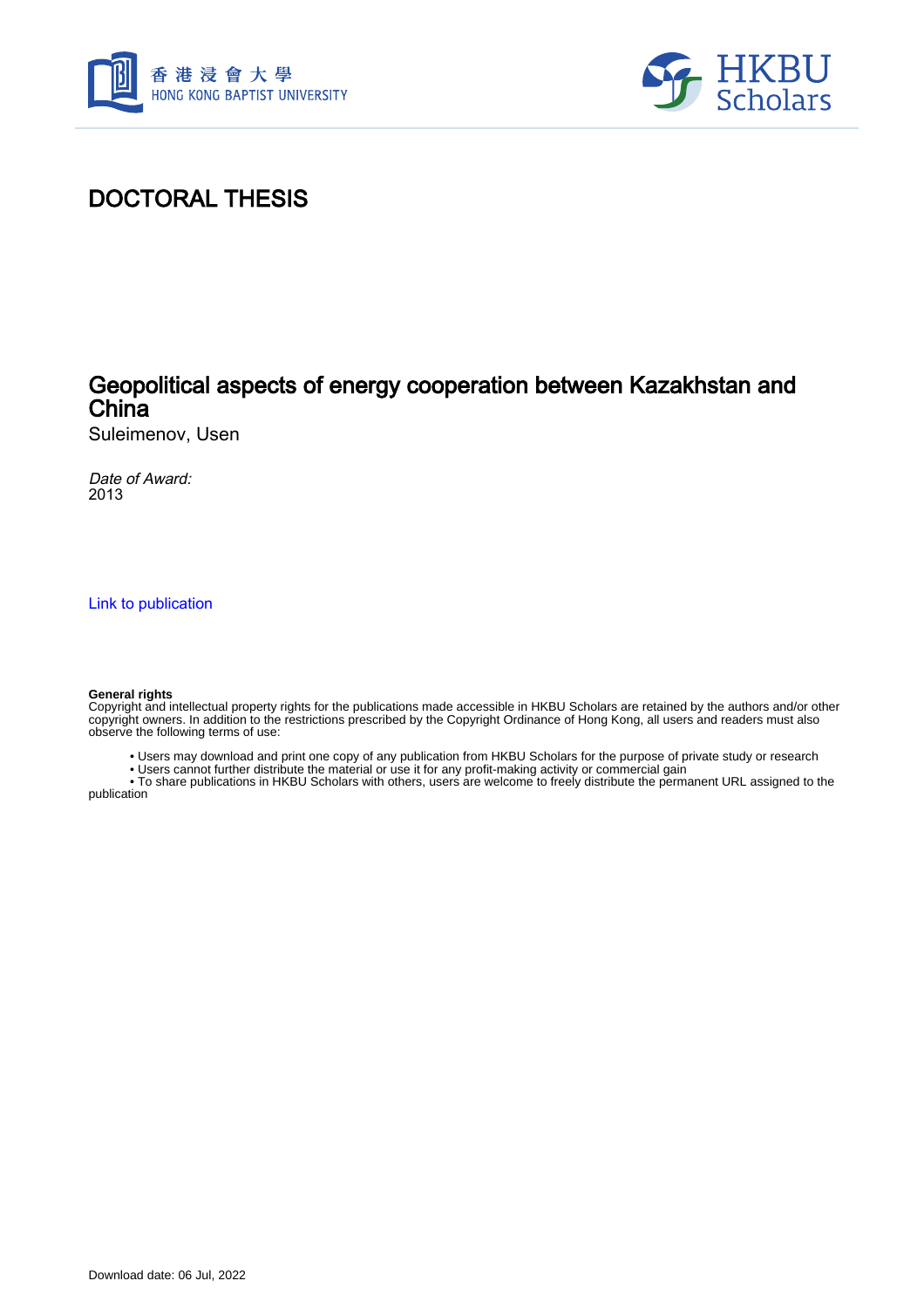



## DOCTORAL THESIS

## Geopolitical aspects of energy cooperation between Kazakhstan and **China**

Suleimenov, Usen

Date of Award: 2013

[Link to publication](https://scholars.hkbu.edu.hk/en/studentTheses/dd9f3eae-5484-4040-8876-48f178209719)

#### **General rights**

Copyright and intellectual property rights for the publications made accessible in HKBU Scholars are retained by the authors and/or other copyright owners. In addition to the restrictions prescribed by the Copyright Ordinance of Hong Kong, all users and readers must also observe the following terms of use:

- Users may download and print one copy of any publication from HKBU Scholars for the purpose of private study or research
- Users cannot further distribute the material or use it for any profit-making activity or commercial gain

 • To share publications in HKBU Scholars with others, users are welcome to freely distribute the permanent URL assigned to the publication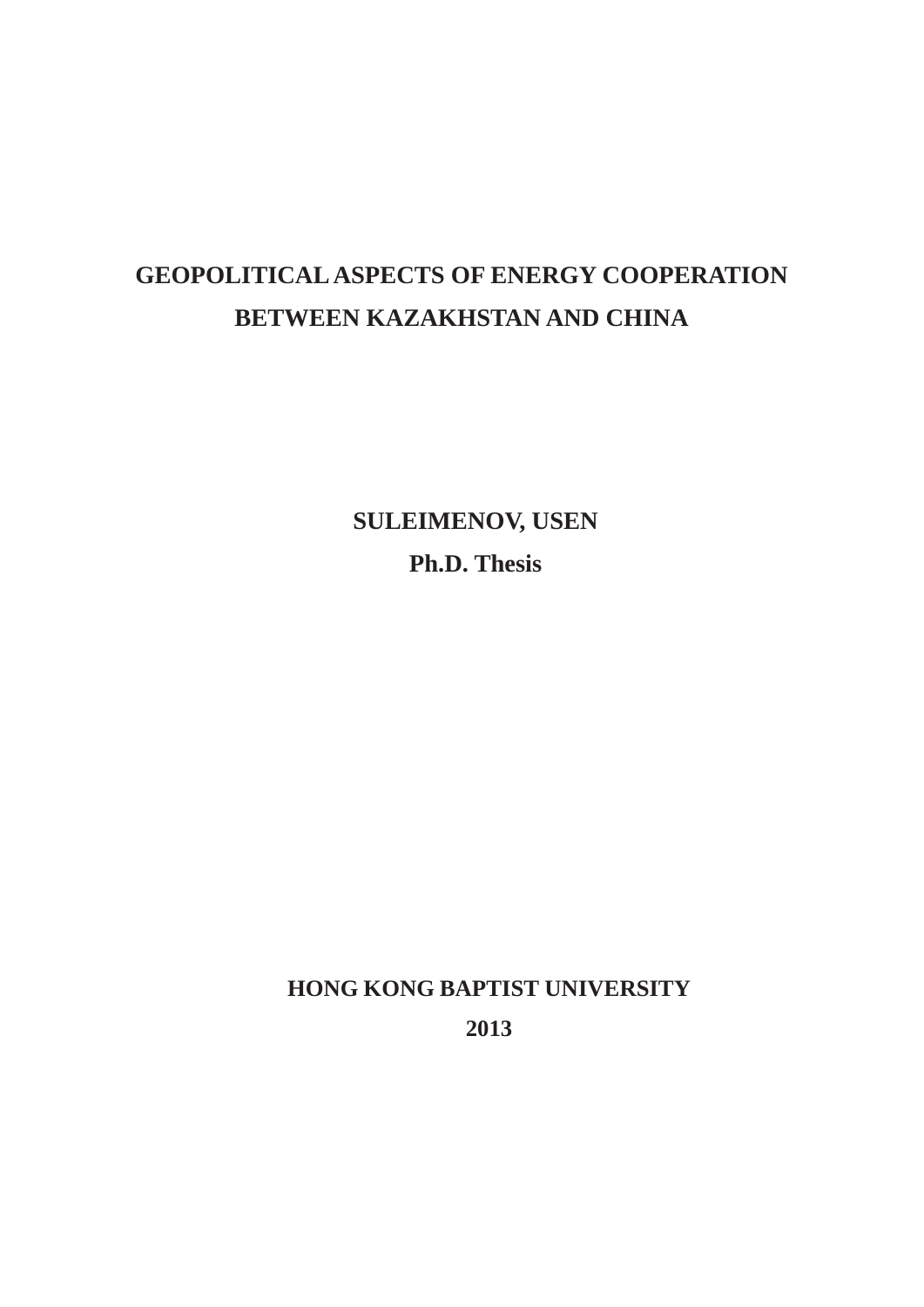# **GEOPOLITICAL ASPECTS OF ENERGY COOPERATION BETWEEN KAZAKHSTAN AND CHINA**

**SULEIMENOV, USEN Ph.D. Thesis**

**HONG KONG BAPTIST UNIVERSITY 2013**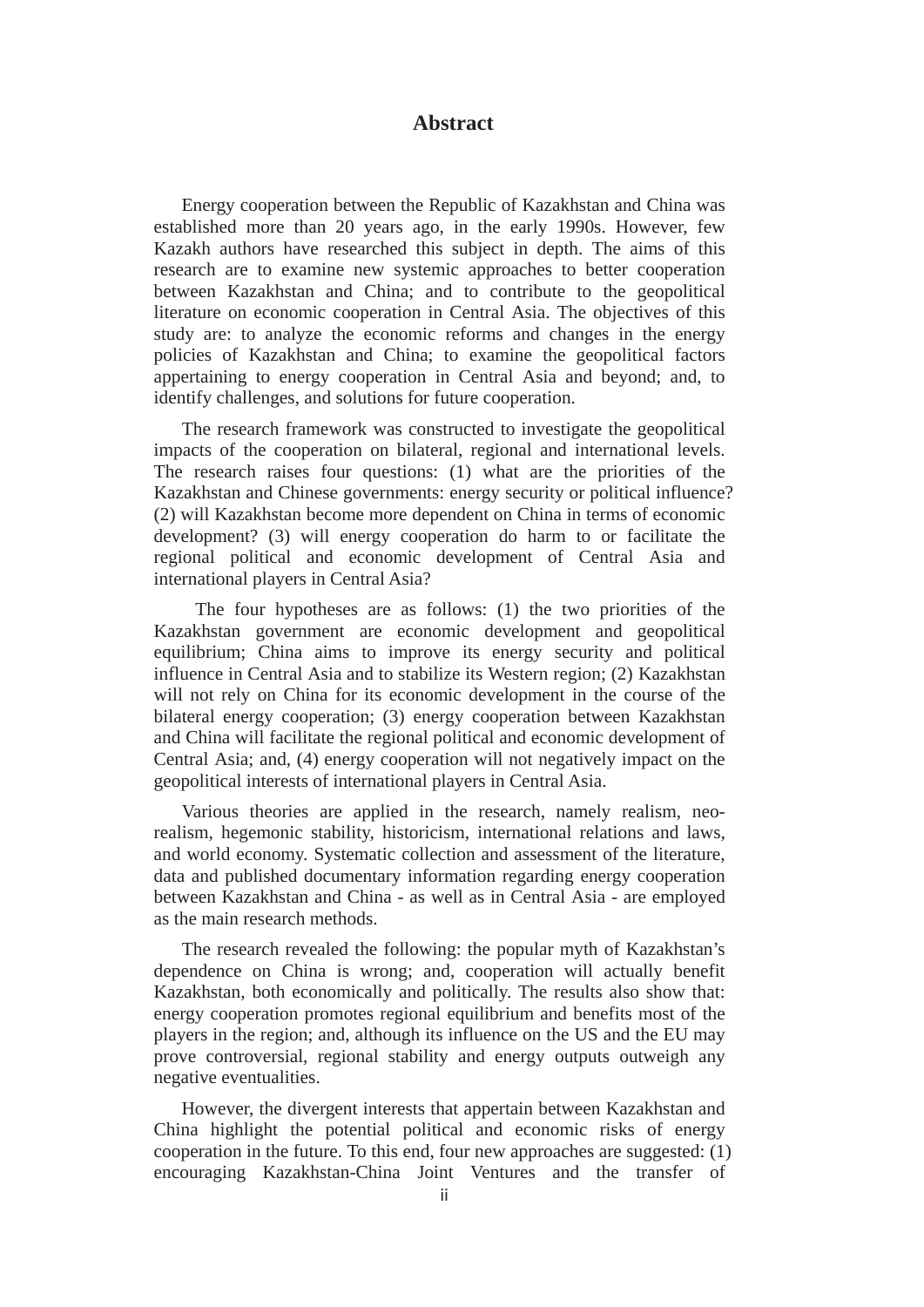### **Abstract**

Energy cooperation between the Republic of Kazakhstan and China was established more than 20 years ago, in the early 1990s. However, few Kazakh authors have researched this subject in depth. The aims of this research are to examine new systemic approaches to better cooperation between Kazakhstan and China; and to contribute to the geopolitical literature on economic cooperation in Central Asia. The objectives of this study are: to analyze the economic reforms and changes in the energy policies of Kazakhstan and China; to examine the geopolitical factors appertaining to energy cooperation in Central Asia and beyond; and, to identify challenges, and solutions for future cooperation.

The research framework was constructed to investigate the geopolitical impacts of the cooperation on bilateral, regional and international levels. The research raises four questions: (1) what are the priorities of the Kazakhstan and Chinese governments: energy security or political influence? (2) will Kazakhstan become more dependent on China in terms of economic development? (3) will energy cooperation do harm to or facilitate the regional political and economic development of Central Asia and international players in Central Asia?

The four hypotheses are as follows: (1) the two priorities of the Kazakhstan government are economic development and geopolitical equilibrium; China aims to improve its energy security and political influence in Central Asia and to stabilize its Western region; (2) Kazakhstan will not rely on China for its economic development in the course of the bilateral energy cooperation; (3) energy cooperation between Kazakhstan and China will facilitate the regional political and economic development of Central Asia; and, (4) energy cooperation will not negatively impact on the geopolitical interests of international players in Central Asia.

Various theories are applied in the research, namely realism, neorealism, hegemonic stability, historicism, international relations and laws, and world economy. Systematic collection and assessment of the literature, data and published documentary information regarding energy cooperation between Kazakhstan and China - as well as in Central Asia - are employed as the main research methods.

The research revealed the following: the popular myth of Kazakhstan's dependence on China is wrong; and, cooperation will actually benefit Kazakhstan, both economically and politically. The results also show that: energy cooperation promotes regional equilibrium and benefits most of the players in the region; and, although its influence on the US and the EU may prove controversial, regional stability and energy outputs outweigh any negative eventualities.

However, the divergent interests that appertain between Kazakhstan and China highlight the potential political and economic risks of energy cooperation in the future. To this end, four new approaches are suggested: (1) encouraging Kazakhstan-China Joint Ventures and the transfer of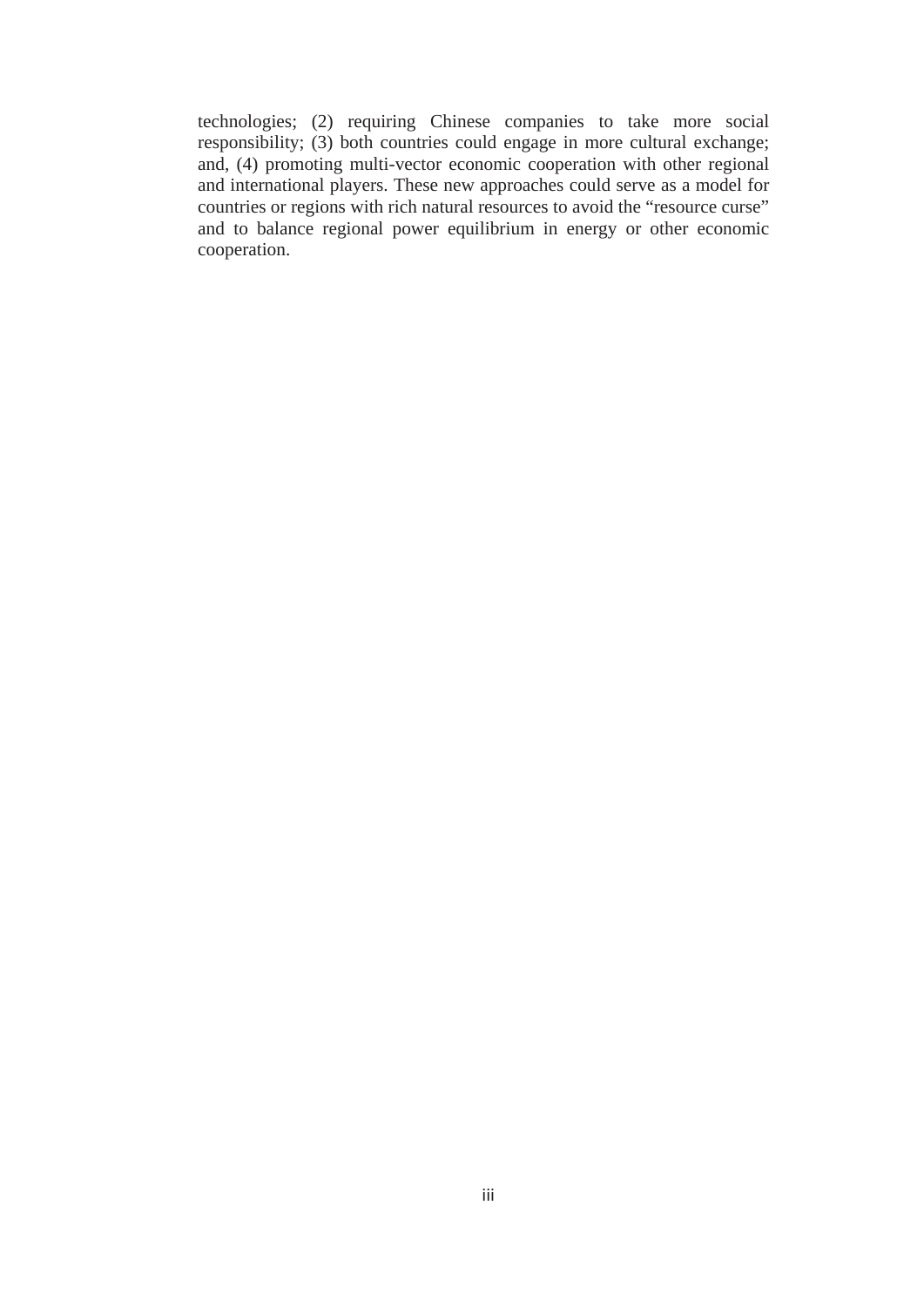technologies; (2) requiring Chinese companies to take more social responsibility; (3) both countries could engage in more cultural exchange; and, (4) promoting multi-vector economic cooperation with other regional and international players. These new approaches could serve as a model for countries or regions with rich natural resources to avoid the "resource curse" and to balance regional power equilibrium in energy or other economic cooperation.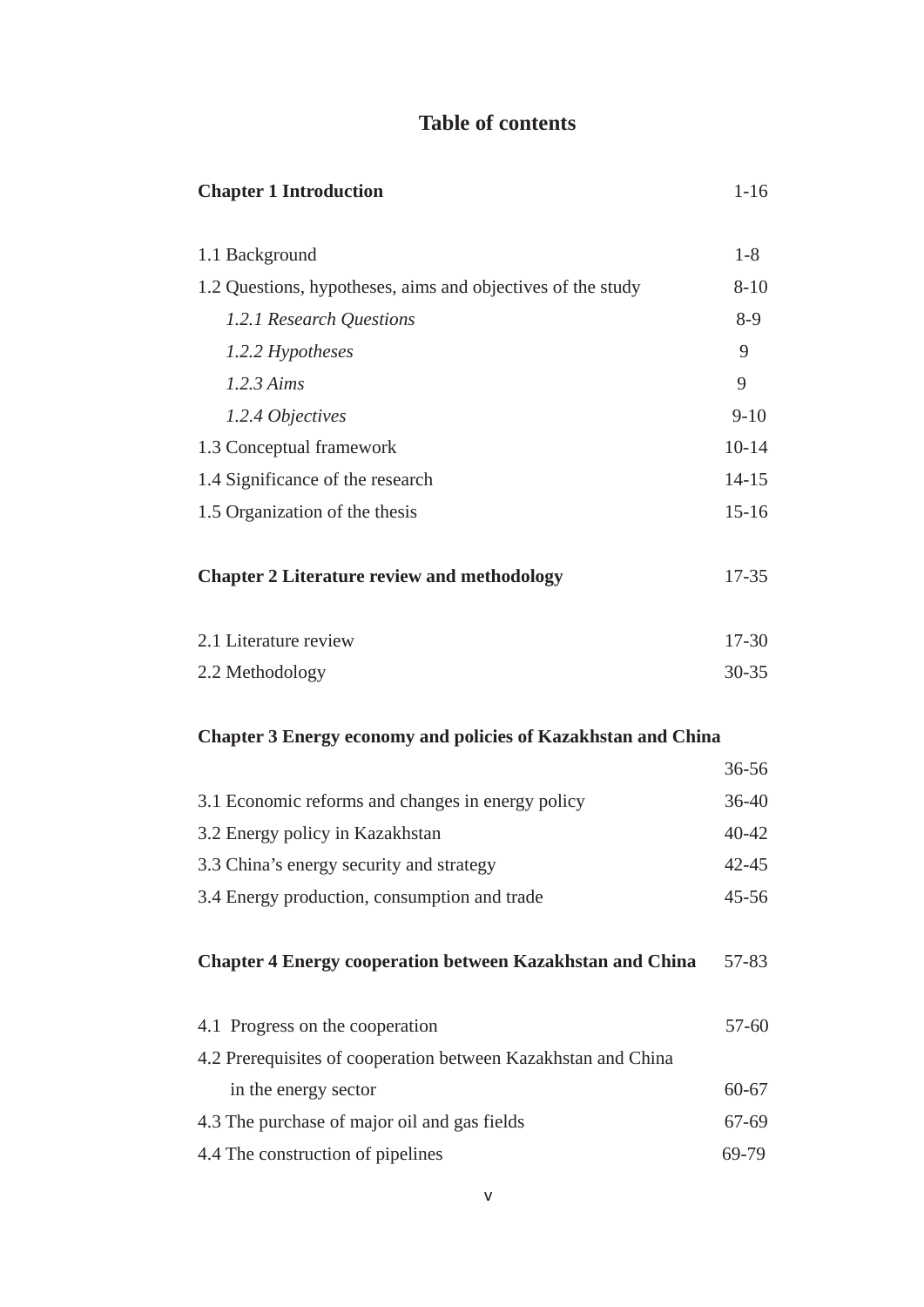## **Table of contents**

| <b>Chapter 1 Introduction</b>                                        | $1 - 16$  |
|----------------------------------------------------------------------|-----------|
| 1.1 Background                                                       | $1 - 8$   |
| 1.2 Questions, hypotheses, aims and objectives of the study          | $8 - 10$  |
| 1.2.1 Research Questions                                             | $8-9$     |
| 1.2.2 Hypotheses                                                     | 9         |
| 1.2.3 Aims                                                           | 9         |
| 1.2.4 Objectives                                                     | $9 - 10$  |
| 1.3 Conceptual framework                                             | $10 - 14$ |
| 1.4 Significance of the research                                     | $14 - 15$ |
| 1.5 Organization of the thesis                                       | $15 - 16$ |
| <b>Chapter 2 Literature review and methodology</b>                   | $17 - 35$ |
| 2.1 Literature review                                                | $17 - 30$ |
| 2.2 Methodology                                                      | $30 - 35$ |
| <b>Chapter 3 Energy economy and policies of Kazakhstan and China</b> |           |
|                                                                      | $36 - 56$ |

|                                                                  | JU JU     |
|------------------------------------------------------------------|-----------|
| 3.1 Economic reforms and changes in energy policy                | $36 - 40$ |
| 3.2 Energy policy in Kazakhstan                                  | $40 - 42$ |
| 3.3 China's energy security and strategy                         | $42 - 45$ |
| 3.4 Energy production, consumption and trade                     | $45 - 56$ |
|                                                                  |           |
| <b>Chapter 4 Energy cooperation between Kazakhstan and China</b> | 57-83     |
|                                                                  |           |
| 4.1 Progress on the cooperation                                  | $57 - 60$ |
| 4.2 Prerequisites of cooperation between Kazakhstan and China    |           |
| in the energy sector                                             | $60 - 67$ |
| 4.3 The purchase of major oil and gas fields                     | 67-69     |
| 4.4 The construction of pipelines                                | 69-79     |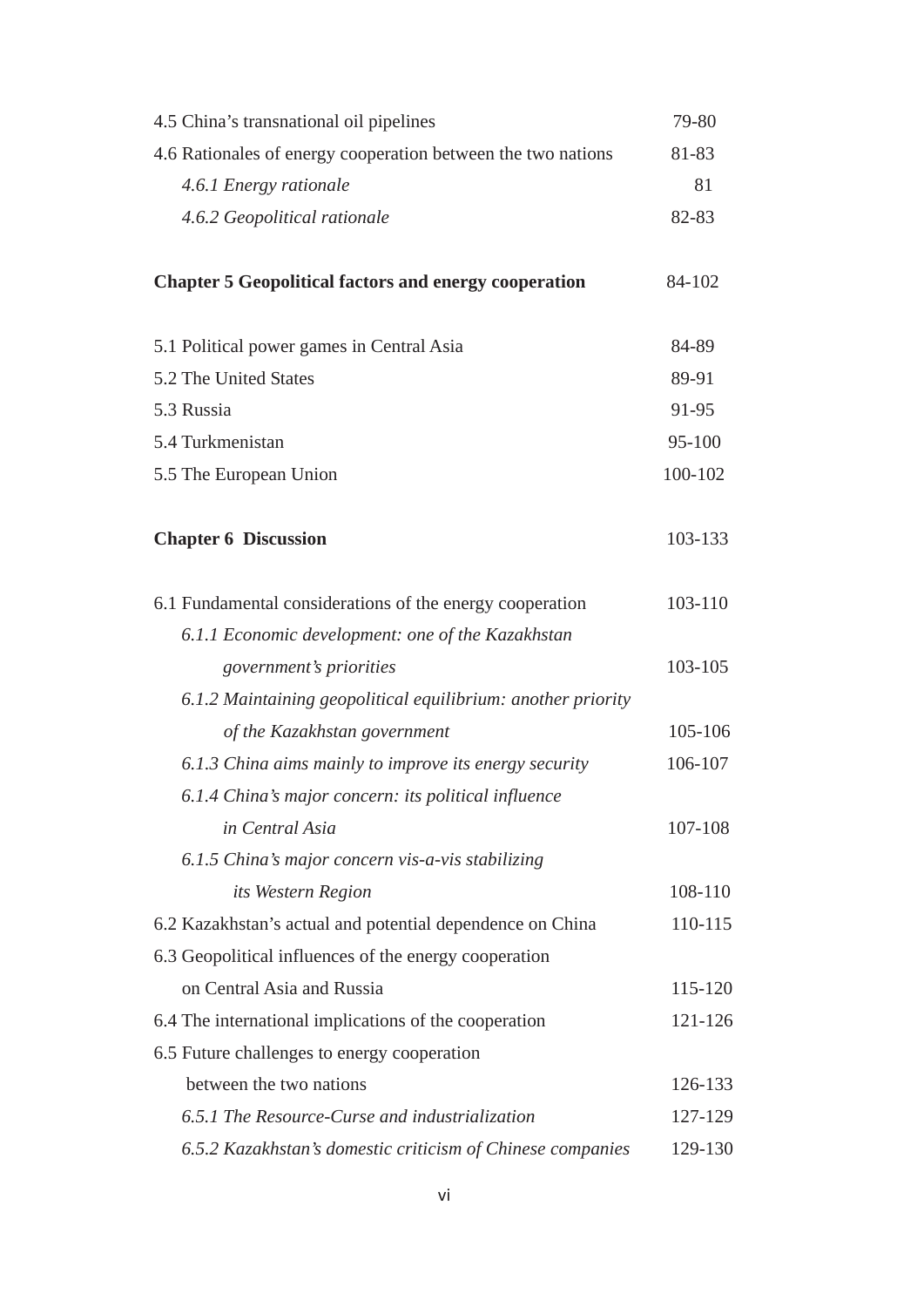| 4.5 China's transnational oil pipelines                      | 79-80   |
|--------------------------------------------------------------|---------|
| 4.6 Rationales of energy cooperation between the two nations | 81-83   |
| 4.6.1 Energy rationale                                       | 81      |
| 4.6.2 Geopolitical rationale                                 | 82-83   |
| <b>Chapter 5 Geopolitical factors and energy cooperation</b> | 84-102  |
| 5.1 Political power games in Central Asia                    | 84-89   |
| 5.2 The United States                                        | 89-91   |
| 5.3 Russia                                                   | 91-95   |
| 5.4 Turkmenistan                                             | 95-100  |
| 5.5 The European Union                                       | 100-102 |
| <b>Chapter 6 Discussion</b>                                  | 103-133 |
| 6.1 Fundamental considerations of the energy cooperation     | 103-110 |
| 6.1.1 Economic development: one of the Kazakhstan            |         |
| <i>government's priorities</i>                               | 103-105 |
| 6.1.2 Maintaining geopolitical equilibrium: another priority |         |
| of the Kazakhstan government                                 | 105-106 |
| 6.1.3 China aims mainly to improve its energy security       | 106-107 |
| 6.1.4 China's major concern: its political influence         |         |
| in Central Asia                                              | 107-108 |
| 6.1.5 China's major concern vis-a-vis stabilizing            |         |
| its Western Region                                           | 108-110 |
| 6.2 Kazakhstan's actual and potential dependence on China    | 110-115 |
| 6.3 Geopolitical influences of the energy cooperation        |         |
| on Central Asia and Russia                                   | 115-120 |
| 6.4 The international implications of the cooperation        | 121-126 |
| 6.5 Future challenges to energy cooperation                  |         |
| between the two nations                                      | 126-133 |
| 6.5.1 The Resource-Curse and industrialization               | 127-129 |
| 6.5.2 Kazakhstan's domestic criticism of Chinese companies   | 129-130 |